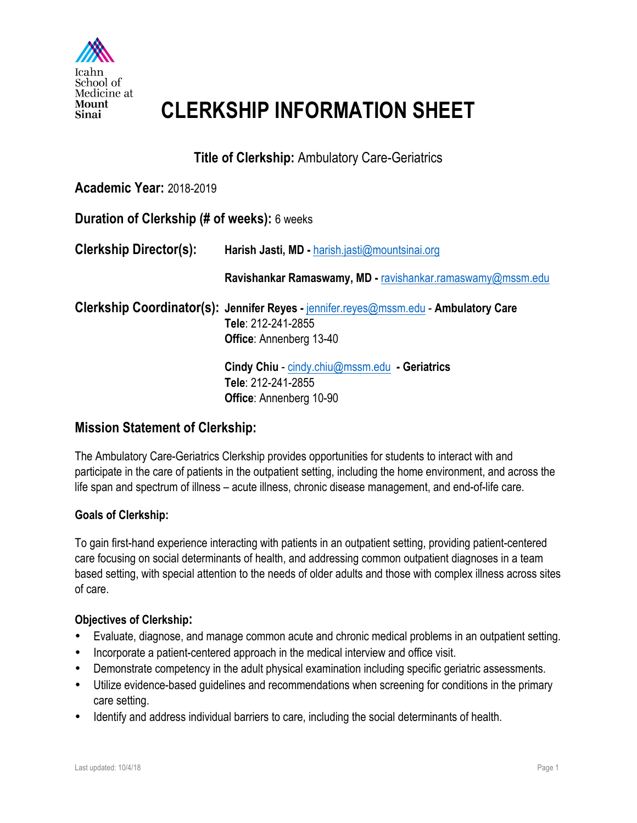

## **CLERKSHIP INFORMATION SHEET**

**Title of Clerkship:** Ambulatory Care-Geriatrics

### **Academic Year:** 2018-2019

| Duration of Clerkship (# of weeks): 6 weeks |                                                                                                                                              |
|---------------------------------------------|----------------------------------------------------------------------------------------------------------------------------------------------|
| <b>Clerkship Director(s):</b>               | Harish Jasti, MD - harish.jasti@mountsinai.org                                                                                               |
|                                             | Ravishankar Ramaswamy, MD - ravishankar.ramaswamy@mssm.edu                                                                                   |
|                                             | Clerkship Coordinator(s): Jennifer Reyes - jennifer.reyes@mssm.edu - Ambulatory Care<br>Tele: 212-241-2855<br><b>Office:</b> Annenberg 13-40 |
|                                             | Cindy Chiu - cindy.chiu@mssm.edu - Geriatrics<br>Tele: 212-241-2855<br><b>Office:</b> Annenberg 10-90                                        |

## **Mission Statement of Clerkship:**

The Ambulatory Care-Geriatrics Clerkship provides opportunities for students to interact with and participate in the care of patients in the outpatient setting, including the home environment, and across the life span and spectrum of illness – acute illness, chronic disease management, and end-of-life care.

#### **Goals of Clerkship:**

To gain first-hand experience interacting with patients in an outpatient setting, providing patient-centered care focusing on social determinants of health, and addressing common outpatient diagnoses in a team based setting, with special attention to the needs of older adults and those with complex illness across sites of care.

#### **Objectives of Clerkship:**

- Evaluate, diagnose, and manage common acute and chronic medical problems in an outpatient setting.
- Incorporate a patient-centered approach in the medical interview and office visit.
- Demonstrate competency in the adult physical examination including specific geriatric assessments.
- Utilize evidence-based guidelines and recommendations when screening for conditions in the primary care setting.
- Identify and address individual barriers to care, including the social determinants of health.